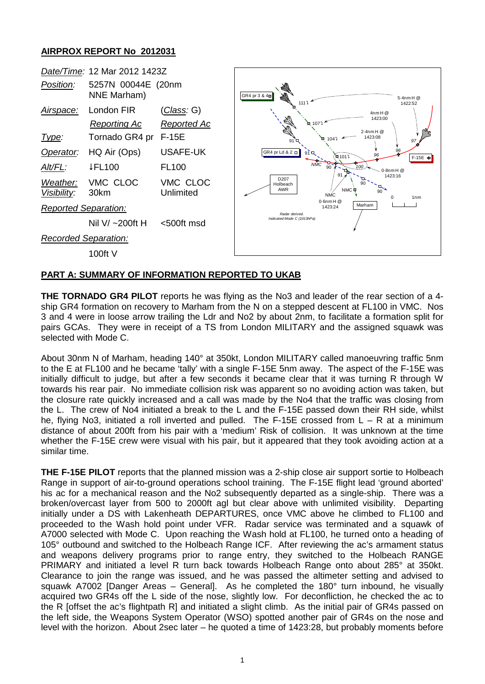## **AIRPROX REPORT No 2012031**



## **PART A: SUMMARY OF INFORMATION REPORTED TO UKAB**

**THE TORNADO GR4 PILOT** reports he was flying as the No3 and leader of the rear section of a 4 ship GR4 formation on recovery to Marham from the N on a stepped descent at FL100 in VMC. Nos 3 and 4 were in loose arrow trailing the Ldr and No2 by about 2nm, to facilitate a formation split for pairs GCAs. They were in receipt of a TS from London MILITARY and the assigned squawk was selected with Mode C.

About 30nm N of Marham, heading 140° at 350kt, London MILITARY called manoeuvring traffic 5nm to the E at FL100 and he became 'tally' with a single F-15E 5nm away. The aspect of the F-15E was initially difficult to judge, but after a few seconds it became clear that it was turning R through W towards his rear pair. No immediate collision risk was apparent so no avoiding action was taken, but the closure rate quickly increased and a call was made by the No4 that the traffic was closing from the L. The crew of No4 initiated a break to the L and the F-15E passed down their RH side, whilst he, flying No3, initiated a roll inverted and pulled. The F-15E crossed from L – R at a minimum distance of about 200ft from his pair with a 'medium' Risk of collision. It was unknown at the time whether the F-15E crew were visual with his pair, but it appeared that they took avoiding action at a similar time.

**THE F-15E PILOT** reports that the planned mission was a 2-ship close air support sortie to Holbeach Range in support of air-to-ground operations school training. The F-15E flight lead 'ground aborted' his ac for a mechanical reason and the No2 subsequently departed as a single-ship. There was a broken/overcast layer from 500 to 2000ft agl but clear above with unlimited visibility. Departing initially under a DS with Lakenheath DEPARTURES, once VMC above he climbed to FL100 and proceeded to the Wash hold point under VFR. Radar service was terminated and a squawk of A7000 selected with Mode C. Upon reaching the Wash hold at FL100, he turned onto a heading of 105° outbound and switched to the Holbeach Range ICF. After reviewing the ac's armament status and weapons delivery programs prior to range entry, they switched to the Holbeach RANGE PRIMARY and initiated a level R turn back towards Holbeach Range onto about 285° at 350kt. Clearance to join the range was issued, and he was passed the altimeter setting and advised to squawk A7002 [Danger Areas – General]. As he completed the 180° turn inbound, he visually acquired two GR4s off the L side of the nose, slightly low. For deconfliction, he checked the ac to the R [offset the ac's flightpath R] and initiated a slight climb. As the initial pair of GR4s passed on the left side, the Weapons System Operator (WSO) spotted another pair of GR4s on the nose and level with the horizon. About 2sec later – he quoted a time of 1423:28, but probably moments before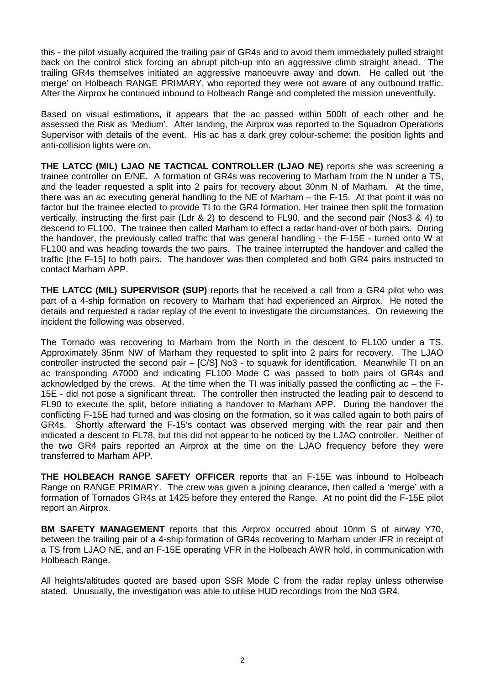this - the pilot visually acquired the trailing pair of GR4s and to avoid them immediately pulled straight back on the control stick forcing an abrupt pitch-up into an aggressive climb straight ahead. The trailing GR4s themselves initiated an aggressive manoeuvre away and down. He called out 'the merge' on Holbeach RANGE PRIMARY, who reported they were not aware of any outbound traffic. After the Airprox he continued inbound to Holbeach Range and completed the mission uneventfully.

Based on visual estimations, it appears that the ac passed within 500ft of each other and he assessed the Risk as 'Medium'. After landing, the Airprox was reported to the Squadron Operations Supervisor with details of the event. His ac has a dark grey colour-scheme; the position lights and anti-collision lights were on.

**THE LATCC (MIL) LJAO NE TACTICAL CONTROLLER (LJAO NE)** reports she was screening a trainee controller on E/NE. A formation of GR4s was recovering to Marham from the N under a TS, and the leader requested a split into 2 pairs for recovery about 30nm N of Marham. At the time, there was an ac executing general handling to the NE of Marham – the F-15. At that point it was no factor but the trainee elected to provide TI to the GR4 formation. Her trainee then split the formation vertically, instructing the first pair (Ldr & 2) to descend to FL90, and the second pair (Nos3 & 4) to descend to FL100. The trainee then called Marham to effect a radar hand-over of both pairs. During the handover, the previously called traffic that was general handling - the F-15E - turned onto W at FL100 and was heading towards the two pairs. The trainee interrupted the handover and called the traffic [the F-15] to both pairs. The handover was then completed and both GR4 pairs instructed to contact Marham APP.

**THE LATCC (MIL) SUPERVISOR (SUP)** reports that he received a call from a GR4 pilot who was part of a 4-ship formation on recovery to Marham that had experienced an Airprox. He noted the details and requested a radar replay of the event to investigate the circumstances. On reviewing the incident the following was observed.

The Tornado was recovering to Marham from the North in the descent to FL100 under a TS. Approximately 35nm NW of Marham they requested to split into 2 pairs for recovery. The LJAO controller instructed the second pair – [C/S] No3 - to squawk for identification. Meanwhile TI on an ac transponding A7000 and indicating FL100 Mode C was passed to both pairs of GR4s and acknowledged by the crews. At the time when the TI was initially passed the conflicting ac – the F-15E - did not pose a significant threat. The controller then instructed the leading pair to descend to FL90 to execute the split, before initiating a handover to Marham APP. During the handover the conflicting F-15E had turned and was closing on the formation, so it was called again to both pairs of GR4s. Shortly afterward the F-15's contact was observed merging with the rear pair and then indicated a descent to FL78, but this did not appear to be noticed by the LJAO controller. Neither of the two GR4 pairs reported an Airprox at the time on the LJAO frequency before they were transferred to Marham APP.

**THE HOLBEACH RANGE SAFETY OFFICER** reports that an F-15E was inbound to Holbeach Range on RANGE PRIMARY. The crew was given a joining clearance, then called a 'merge' with a formation of Tornados GR4s at 1425 before they entered the Range. At no point did the F-15E pilot report an Airprox.

**BM SAFETY MANAGEMENT** reports that this Airprox occurred about 10nm S of airway Y70, between the trailing pair of a 4-ship formation of GR4s recovering to Marham under IFR in receipt of a TS from LJAO NE, and an F-15E operating VFR in the Holbeach AWR hold, in communication with Holbeach Range.

All heights/altitudes quoted are based upon SSR Mode C from the radar replay unless otherwise stated. Unusually, the investigation was able to utilise HUD recordings from the No3 GR4.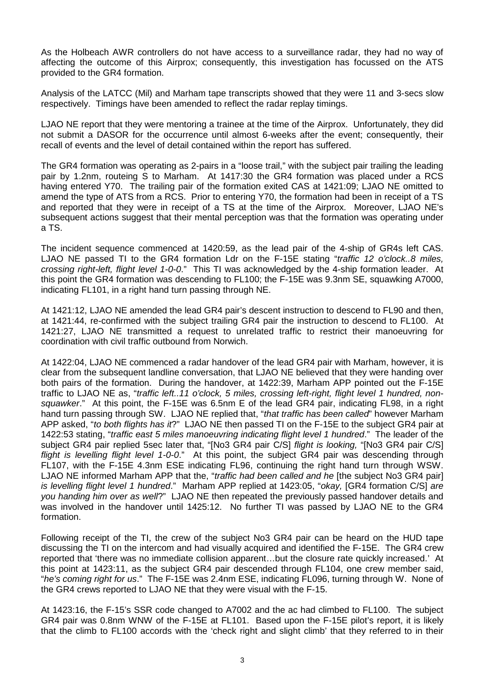As the Holbeach AWR controllers do not have access to a surveillance radar, they had no way of affecting the outcome of this Airprox; consequently, this investigation has focussed on the ATS provided to the GR4 formation.

Analysis of the LATCC (Mil) and Marham tape transcripts showed that they were 11 and 3-secs slow respectively. Timings have been amended to reflect the radar replay timings.

LJAO NE report that they were mentoring a trainee at the time of the Airprox. Unfortunately, they did not submit a DASOR for the occurrence until almost 6-weeks after the event; consequently, their recall of events and the level of detail contained within the report has suffered.

The GR4 formation was operating as 2-pairs in a "loose trail," with the subject pair trailing the leading pair by 1.2nm, routeing S to Marham. At 1417:30 the GR4 formation was placed under a RCS having entered Y70. The trailing pair of the formation exited CAS at 1421:09; LJAO NE omitted to amend the type of ATS from a RCS. Prior to entering Y70, the formation had been in receipt of a TS and reported that they were in receipt of a TS at the time of the Airprox. Moreover, LJAO NE's subsequent actions suggest that their mental perception was that the formation was operating under a TS.

The incident sequence commenced at 1420:59, as the lead pair of the 4-ship of GR4s left CAS. LJAO NE passed TI to the GR4 formation Ldr on the F-15E stating "*traffic 12 o'clock..8 miles, crossing right-left, flight level 1-0-0*." This TI was acknowledged by the 4-ship formation leader. At this point the GR4 formation was descending to FL100; the F-15E was 9.3nm SE, squawking A7000, indicating FL101, in a right hand turn passing through NE.

At 1421:12, LJAO NE amended the lead GR4 pair's descent instruction to descend to FL90 and then, at 1421:44, re-confirmed with the subject trailing GR4 pair the instruction to descend to FL100. At 1421:27, LJAO NE transmitted a request to unrelated traffic to restrict their manoeuvring for coordination with civil traffic outbound from Norwich.

At 1422:04, LJAO NE commenced a radar handover of the lead GR4 pair with Marham, however, it is clear from the subsequent landline conversation, that LJAO NE believed that they were handing over both pairs of the formation. During the handover, at 1422:39, Marham APP pointed out the F-15E traffic to LJAO NE as, "*traffic left..11 o'clock, 5 miles, crossing left-right, flight level 1 hundred, nonsquawker*." At this point, the F-15E was 6.5nm E of the lead GR4 pair, indicating FL98, in a right hand turn passing through SW. LJAO NE replied that, "*that traffic has been called*" however Marham APP asked, "*to both flights has it*?" LJAO NE then passed TI on the F-15E to the subject GR4 pair at 1422:53 stating, "*traffic east 5 miles manoeuvring indicating flight level 1 hundred*." The leader of the subject GR4 pair replied 5sec later that, "[No3 GR4 pair C/S] *flight is looking,* "[No3 GR4 pair C/S] *flight is levelling flight level 1-0-0*." At this point, the subject GR4 pair was descending through FL107, with the F-15E 4.3nm ESE indicating FL96, continuing the right hand turn through WSW. LJAO NE informed Marham APP that the, "*traffic had been called and he* [the subject No3 GR4 pair] *is levelling flight level 1 hundred*." Marham APP replied at 1423:05, "*okay,* [GR4 formation C/S] *are you handing him over as well*?" LJAO NE then repeated the previously passed handover details and was involved in the handover until 1425:12. No further TI was passed by LJAO NE to the GR4 formation.

Following receipt of the TI, the crew of the subject No3 GR4 pair can be heard on the HUD tape discussing the TI on the intercom and had visually acquired and identified the F-15E. The GR4 crew reported that 'there was no immediate collision apparent…but the closure rate quickly increased.' At this point at 1423:11, as the subject GR4 pair descended through FL104, one crew member said, "*he's coming right for us*." The F-15E was 2.4nm ESE, indicating FL096, turning through W. None of the GR4 crews reported to LJAO NE that they were visual with the F-15.

At 1423:16, the F-15's SSR code changed to A7002 and the ac had climbed to FL100. The subject GR4 pair was 0.8nm WNW of the F-15E at FL101. Based upon the F-15E pilot's report, it is likely that the climb to FL100 accords with the 'check right and slight climb' that they referred to in their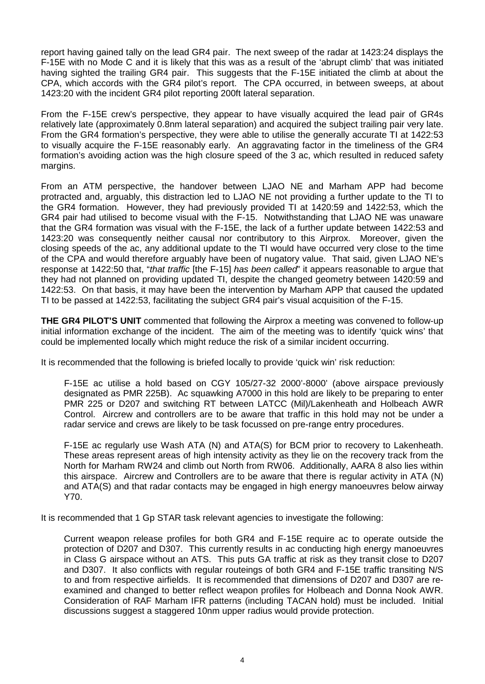report having gained tally on the lead GR4 pair. The next sweep of the radar at 1423:24 displays the F-15E with no Mode C and it is likely that this was as a result of the 'abrupt climb' that was initiated having sighted the trailing GR4 pair. This suggests that the F-15E initiated the climb at about the CPA, which accords with the GR4 pilot's report. The CPA occurred, in between sweeps, at about 1423:20 with the incident GR4 pilot reporting 200ft lateral separation.

From the F-15E crew's perspective, they appear to have visually acquired the lead pair of GR4s relatively late (approximately 0.8nm lateral separation) and acquired the subject trailing pair very late. From the GR4 formation's perspective, they were able to utilise the generally accurate TI at 1422:53 to visually acquire the F-15E reasonably early. An aggravating factor in the timeliness of the GR4 formation's avoiding action was the high closure speed of the 3 ac, which resulted in reduced safety margins.

From an ATM perspective, the handover between LJAO NE and Marham APP had become protracted and, arguably, this distraction led to LJAO NE not providing a further update to the TI to the GR4 formation. However, they had previously provided TI at 1420:59 and 1422:53, which the GR4 pair had utilised to become visual with the F-15. Notwithstanding that LJAO NE was unaware that the GR4 formation was visual with the F-15E, the lack of a further update between 1422:53 and 1423:20 was consequently neither causal nor contributory to this Airprox. Moreover, given the closing speeds of the ac, any additional update to the TI would have occurred very close to the time of the CPA and would therefore arguably have been of nugatory value. That said, given LJAO NE's response at 1422:50 that, "*that traffic* [the F-15] *has been called*" it appears reasonable to argue that they had not planned on providing updated TI, despite the changed geometry between 1420:59 and 1422:53. On that basis, it may have been the intervention by Marham APP that caused the updated TI to be passed at 1422:53, facilitating the subject GR4 pair's visual acquisition of the F-15.

**THE GR4 PILOT'S UNIT** commented that following the Airprox a meeting was convened to follow-up initial information exchange of the incident. The aim of the meeting was to identify 'quick wins' that could be implemented locally which might reduce the risk of a similar incident occurring.

It is recommended that the following is briefed locally to provide 'quick win' risk reduction:

F-15E ac utilise a hold based on CGY 105/27-32 2000'-8000' (above airspace previously designated as PMR 225B). Ac squawking A7000 in this hold are likely to be preparing to enter PMR 225 or D207 and switching RT between LATCC (Mil)/Lakenheath and Holbeach AWR Control. Aircrew and controllers are to be aware that traffic in this hold may not be under a radar service and crews are likely to be task focussed on pre-range entry procedures.

F-15E ac regularly use Wash ATA (N) and ATA(S) for BCM prior to recovery to Lakenheath. These areas represent areas of high intensity activity as they lie on the recovery track from the North for Marham RW24 and climb out North from RW06. Additionally, AARA 8 also lies within this airspace. Aircrew and Controllers are to be aware that there is regular activity in ATA (N) and ATA(S) and that radar contacts may be engaged in high energy manoeuvres below airway Y70.

It is recommended that 1 Gp STAR task relevant agencies to investigate the following:

Current weapon release profiles for both GR4 and F-15E require ac to operate outside the protection of D207 and D307. This currently results in ac conducting high energy manoeuvres in Class G airspace without an ATS. This puts GA traffic at risk as they transit close to D207 and D307. It also conflicts with regular routeings of both GR4 and F-15E traffic transiting N/S to and from respective airfields. It is recommended that dimensions of D207 and D307 are reexamined and changed to better reflect weapon profiles for Holbeach and Donna Nook AWR. Consideration of RAF Marham IFR patterns (including TACAN hold) must be included. Initial discussions suggest a staggered 10nm upper radius would provide protection.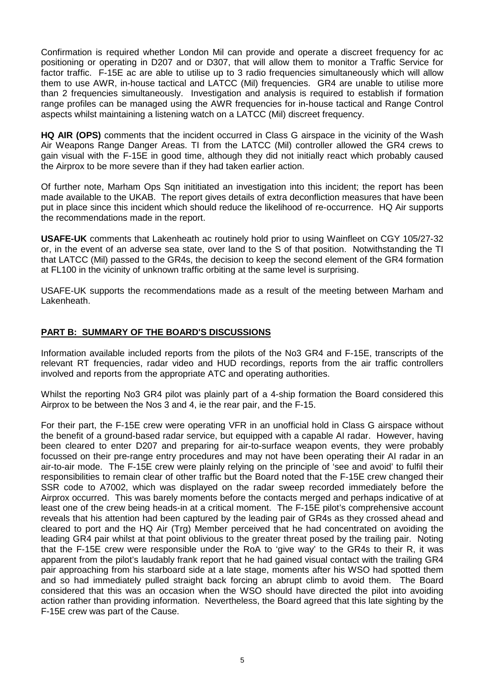Confirmation is required whether London Mil can provide and operate a discreet frequency for ac positioning or operating in D207 and or D307, that will allow them to monitor a Traffic Service for factor traffic. F-15E ac are able to utilise up to 3 radio frequencies simultaneously which will allow them to use AWR, in-house tactical and LATCC (Mil) frequencies. GR4 are unable to utilise more than 2 frequencies simultaneously. Investigation and analysis is required to establish if formation range profiles can be managed using the AWR frequencies for in-house tactical and Range Control aspects whilst maintaining a listening watch on a LATCC (Mil) discreet frequency.

**HQ AIR (OPS)** comments that the incident occurred in Class G airspace in the vicinity of the Wash Air Weapons Range Danger Areas. TI from the LATCC (Mil) controller allowed the GR4 crews to gain visual with the F-15E in good time, although they did not initially react which probably caused the Airprox to be more severe than if they had taken earlier action.

Of further note, Marham Ops Sqn inititiated an investigation into this incident; the report has been made available to the UKAB. The report gives details of extra deconfliction measures that have been put in place since this incident which should reduce the likelihood of re-occurrence. HQ Air supports the recommendations made in the report.

**USAFE-UK** comments that Lakenheath ac routinely hold prior to using Wainfleet on CGY 105/27-32 or, in the event of an adverse sea state, over land to the S of that position. Notwithstanding the TI that LATCC (Mil) passed to the GR4s, the decision to keep the second element of the GR4 formation at FL100 in the vicinity of unknown traffic orbiting at the same level is surprising.

USAFE-UK supports the recommendations made as a result of the meeting between Marham and Lakenheath.

## **PART B: SUMMARY OF THE BOARD'S DISCUSSIONS**

Information available included reports from the pilots of the No3 GR4 and F-15E, transcripts of the relevant RT frequencies, radar video and HUD recordings, reports from the air traffic controllers involved and reports from the appropriate ATC and operating authorities.

Whilst the reporting No3 GR4 pilot was plainly part of a 4-ship formation the Board considered this Airprox to be between the Nos 3 and 4, ie the rear pair, and the F-15.

For their part, the F-15E crew were operating VFR in an unofficial hold in Class G airspace without the benefit of a ground-based radar service, but equipped with a capable AI radar. However, having been cleared to enter D207 and preparing for air-to-surface weapon events, they were probably focussed on their pre-range entry procedures and may not have been operating their AI radar in an air-to-air mode. The F-15E crew were plainly relying on the principle of 'see and avoid' to fulfil their responsibilities to remain clear of other traffic but the Board noted that the F-15E crew changed their SSR code to A7002, which was displayed on the radar sweep recorded immediately before the Airprox occurred. This was barely moments before the contacts merged and perhaps indicative of at least one of the crew being heads-in at a critical moment. The F-15E pilot's comprehensive account reveals that his attention had been captured by the leading pair of GR4s as they crossed ahead and cleared to port and the HQ Air (Trg) Member perceived that he had concentrated on avoiding the leading GR4 pair whilst at that point oblivious to the greater threat posed by the trailing pair. Noting that the F-15E crew were responsible under the RoA to 'give way' to the GR4s to their R, it was apparent from the pilot's laudably frank report that he had gained visual contact with the trailing GR4 pair approaching from his starboard side at a late stage, moments after his WSO had spotted them and so had immediately pulled straight back forcing an abrupt climb to avoid them. The Board considered that this was an occasion when the WSO should have directed the pilot into avoiding action rather than providing information. Nevertheless, the Board agreed that this late sighting by the F-15E crew was part of the Cause.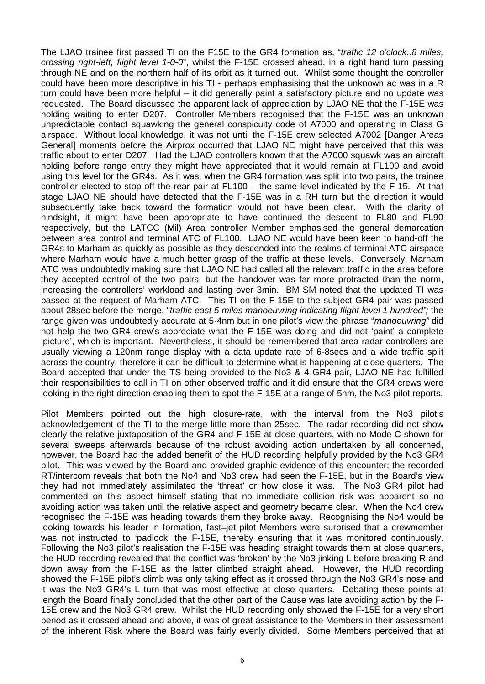The LJAO trainee first passed TI on the F15E to the GR4 formation as, "*traffic 12 o'clock..8 miles, crossing right-left, flight level 1-0-0*", whilst the F-15E crossed ahead, in a right hand turn passing through NE and on the northern half of its orbit as it turned out. Whilst some thought the controller could have been more descriptive in his TI - perhaps emphasising that the unknown ac was in a R turn could have been more helpful – it did generally paint a satisfactory picture and no update was requested. The Board discussed the apparent lack of appreciation by LJAO NE that the F-15E was holding waiting to enter D207. Controller Members recognised that the F-15E was an unknown unpredictable contact squawking the general conspicuity code of A7000 and operating in Class G airspace. Without local knowledge, it was not until the F-15E crew selected A7002 [Danger Areas General] moments before the Airprox occurred that LJAO NE might have perceived that this was traffic about to enter D207. Had the LJAO controllers known that the A7000 squawk was an aircraft holding before range entry they might have appreciated that it would remain at FL100 and avoid using this level for the GR4s. As it was, when the GR4 formation was split into two pairs, the trainee controller elected to stop-off the rear pair at FL100 – the same level indicated by the F-15. At that stage LJAO NE should have detected that the F-15E was in a RH turn but the direction it would subsequently take back toward the formation would not have been clear. With the clarity of hindsight, it might have been appropriate to have continued the descent to FL80 and FL90 respectively, but the LATCC (Mil) Area controller Member emphasised the general demarcation between area control and terminal ATC of FL100. LJAO NE would have been keen to hand-off the GR4s to Marham as quickly as possible as they descended into the realms of terminal ATC airspace where Marham would have a much better grasp of the traffic at these levels. Conversely, Marham ATC was undoubtedly making sure that LJAO NE had called all the relevant traffic in the area before they accepted control of the two pairs, but the handover was far more protracted than the norm, increasing the controllers' workload and lasting over 3min. BM SM noted that the updated TI was passed at the request of Marham ATC. This TI on the F-15E to the subject GR4 pair was passed about 28sec before the merge, "*traffic east 5 miles manoeuvring indicating flight level 1 hundred";* the range given was undoubtedly accurate at 5·4nm but in one pilot's view the phrase "*manoeuvring"* did not help the two GR4 crew's appreciate what the F-15E was doing and did not 'paint' a complete 'picture', which is important. Nevertheless, it should be remembered that area radar controllers are usually viewing a 120nm range display with a data update rate of 6-8secs and a wide traffic split across the country, therefore it can be difficult to determine what is happening at close quarters. The Board accepted that under the TS being provided to the No3 & 4 GR4 pair, LJAO NE had fulfilled their responsibilities to call in TI on other observed traffic and it did ensure that the GR4 crews were looking in the right direction enabling them to spot the F-15E at a range of 5nm, the No3 pilot reports.

Pilot Members pointed out the high closure-rate, with the interval from the No3 pilot's acknowledgement of the TI to the merge little more than 25sec. The radar recording did not show clearly the relative juxtaposition of the GR4 and F-15E at close quarters, with no Mode C shown for several sweeps afterwards because of the robust avoiding action undertaken by all concerned, however, the Board had the added benefit of the HUD recording helpfully provided by the No3 GR4 pilot. This was viewed by the Board and provided graphic evidence of this encounter; the recorded RT/intercom reveals that both the No4 and No3 crew had seen the F-15E, but in the Board's view they had not immediately assimilated the 'threat' or how close it was. The No3 GR4 pilot had commented on this aspect himself stating that no immediate collision risk was apparent so no avoiding action was taken until the relative aspect and geometry became clear. When the No4 crew recognised the F-15E was heading towards them they broke away. Recognising the No4 would be looking towards his leader in formation, fast–jet pilot Members were surprised that a crewmember was not instructed to 'padlock' the F-15E, thereby ensuring that it was monitored continuously. Following the No3 pilot's realisation the F-15E was heading straight towards them at close quarters, the HUD recording revealed that the conflict was 'broken' by the No3 jinking L before breaking R and down away from the F-15E as the latter climbed straight ahead. However, the HUD recording showed the F-15E pilot's climb was only taking effect as it crossed through the No3 GR4's nose and it was the No3 GR4's L turn that was most effective at close quarters. Debating these points at length the Board finally concluded that the other part of the Cause was late avoiding action by the F-15E crew and the No3 GR4 crew. Whilst the HUD recording only showed the F-15E for a very short period as it crossed ahead and above, it was of great assistance to the Members in their assessment of the inherent Risk where the Board was fairly evenly divided. Some Members perceived that at